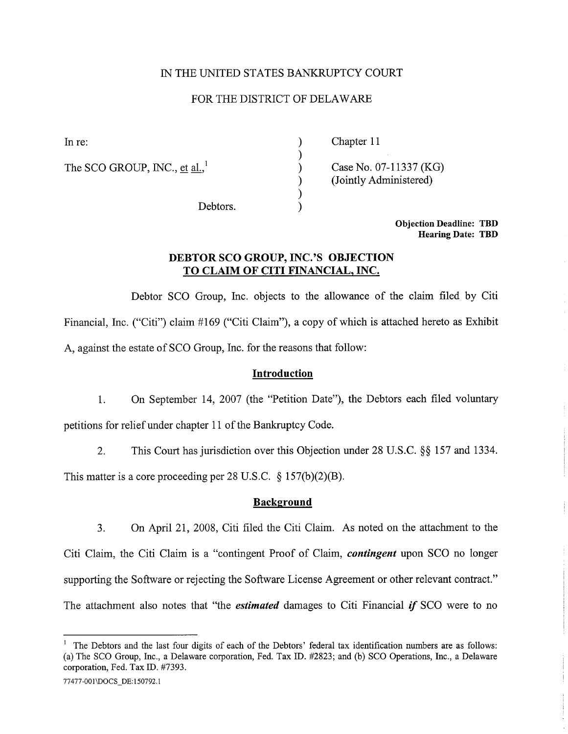## IN THE UNITED STATES BANKRUPTCY COURT

## FOR THE DISTRICT OF DELAWAR

) ) ) ) ) )

The SCO GROUP, INC., et al., $^1$ 

In re: Chapter 11

Case No. 07-11337 (KG) (Jointly Administered)

Debtors.

Objection Deadline: TBD Hearing Date: TBD

# DEBTOR SCO GROUP, INC.'S OBJECTION TO CLAIM OF CITI FINANCIAL, INC.

Debtor SCO Group, Inc. objects to the allowance of the claim fied by Citi Financial, Inc. ("Citi") claim #169 ("Citi Claim"), a copy of which is attached hereto as Exhibit A, against the estate of SCO Group, Inc. for the reasons that follow:

#### Introduction

1. On September 14, 2007 (the "Petition Date"), the Debtors each filed voluntary petitions for relief under chapter 11 of the Bankruptcy Code.

2. This Court has jurisdiction over this Objection under 28 D.S.C. §§ 157 and 1334.

This matter is a core proceeding per 28 U.S.C. § 157(b)(2)(B).

#### **Background**

3. On April 21, 2008, Citi filed the Citi Claim. As noted on the attachment to the Citi Claim, the Citi Claim is a "contingent Proof of Claim, contingent upon SCO no longer supporting the Software or rejecting the Software License Agreement or other relevant contract." The attachment also notes that "the *estimated* damages to Citi Financial *if* SCO were to no

<sup>1</sup> The Debtors and the last four digits of each of the Debtors' federal tax identification numbers are as follows: (a) The SCO Group, Inc., a Delaware corporation, Fed. Tax ID. #2823; and (b) SCO Operations, Inc., a Delaware corporation, Fed. Tax ID. #7393.

<sup>77477-001\</sup>DOCS DE:150792.1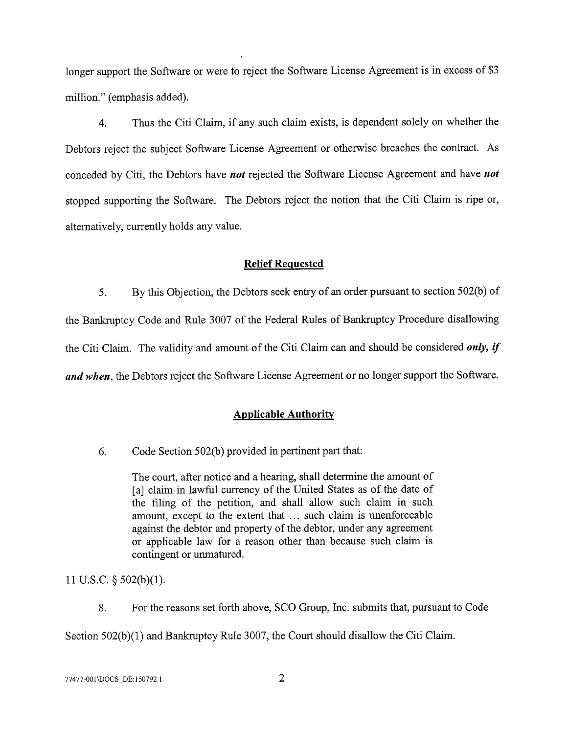longer support the Software or were to reject the Software License Agreement is in excess of \$3 million." (emphasis added).

4. Thus the Citi Claim, if any such claim exists, is dependent solely on whether the Debtors reject the subject Software License Agreement or otherwise breaches the contract. As conceded by Citi, the Debtors have *not* rejected the Software License Agreement and have *not* stopped supporting the Software. The Debtors reject the notion that the Citi Claim is ripe or, alternatively, currently holds any value.

#### Relief Requested

5. By this Objection, the Debtors seek entry of an order pursuant to section 502(b) of the Bankruptcy Code and Rule 3007 of the Federal Rules of Bankruptcy Procedure disallowing the Citi Claim. The validity and amount of the Citi Claim can and should be considered *only, if* and when, the Debtors reject the Software License Agreement or no longer support the Software.

#### **Applicable Authority**

6. Code Section  $502(b)$  provided in pertinent part that:

The court, after notice and a hearing, shall determine the amount of [a] claim in lawful currency of the United States as of the date of the filing of the petition, and shall allow such claim in such amount, except to the extent that ... such claim is unenforceable against the debtor and property of the debtor, under any agreement or applicable law for a reason other than because such claim is contingent or unmatured.

11 U.S.c. § 502(b)(1).

8. For the reasons set forth above, SCO Group, Inc. submits that, pursuant to Code

Section  $502(b)(1)$  and Bankruptcy Rule 3007, the Court should disallow the Citi Claim.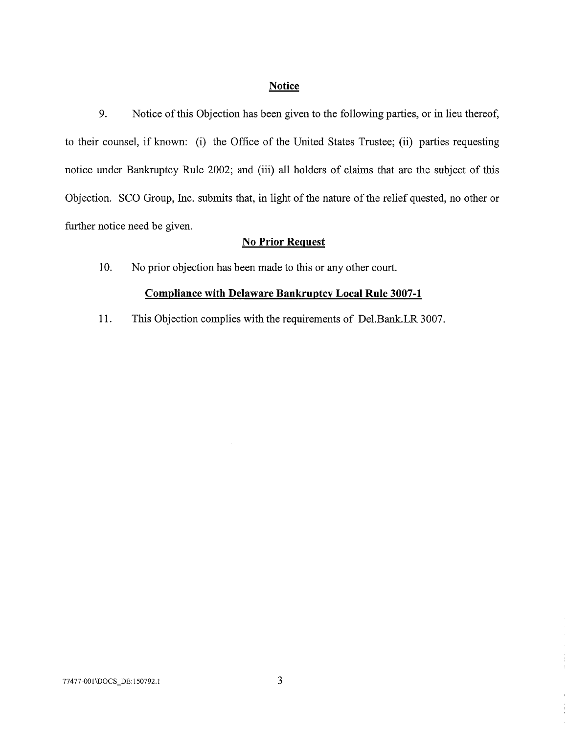#### Notice

9. Notice of this Objection has been given to the following paries, or in lieu thereof, to their counsel, if known: (i) the Office of the United States Trustee; (ii) parties requesting notice under Bankruptcy Rule 2002; and (iii) all holders of claims that are the subject of this Objection. SCO Group, Inc. submits that, in light of the nature of the relief quested, no other or further notice need be given.

# No Prior Request

10. No prior objection has been made to this or any other court.

#### Compliance with Delaware Bankruptcy Local Rule 3007-1

11. This Objection complies with the requirements of De1.Bank.LR 3007.